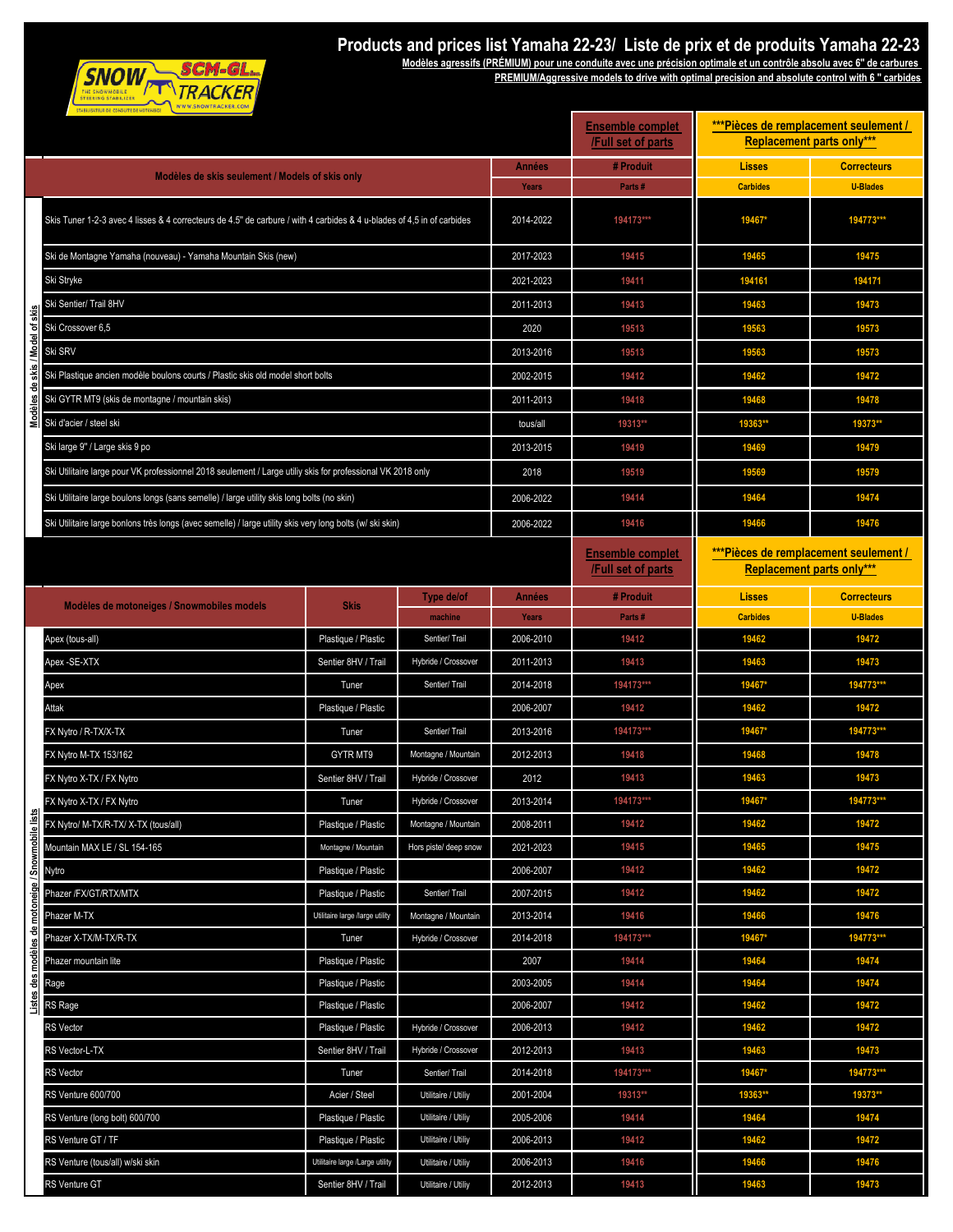

## **Products and prices list Yamaha 22-23/ Liste de prix et de produits Yamaha 22-23**

**Modèles agressifs (PRÉMIUM) pour une conduite avec une précision optimale et un contrôle absolu avec 6'' de carbures** 

**PREMIUM/Aggressive models to drive with optimal precision and absolute control with 6 '' carbides**

|                                                   | STABILISATEUR DE CONDUITE DE MOTONEICE                                                                                 | <b>Ensemble complet</b><br>/Full set of parts | *** Pièces de remplacement seulement /<br><b>Replacement parts only***</b> |               |                                               |                                                                           |                    |
|---------------------------------------------------|------------------------------------------------------------------------------------------------------------------------|-----------------------------------------------|----------------------------------------------------------------------------|---------------|-----------------------------------------------|---------------------------------------------------------------------------|--------------------|
|                                                   | Modèles de skis seulement / Models of skis only                                                                        | Années                                        | # Produit                                                                  | <b>Lisses</b> | <b>Correcteurs</b>                            |                                                                           |                    |
|                                                   |                                                                                                                        |                                               |                                                                            | Years         | Parts#                                        | <b>Carbides</b>                                                           | <b>U-Blades</b>    |
|                                                   | Skis Tuner 1-2-3 avec 4 lisses & 4 correcteurs de 4.5" de carbure / with 4 carbides & 4 u-blades of 4,5 in of carbides |                                               |                                                                            | 2014-2022     | 194173***                                     | 19467*                                                                    | 194773***          |
|                                                   | Ski de Montagne Yamaha (nouveau) - Yamaha Mountain Skis (new)                                                          |                                               |                                                                            | 2017-2023     | 19415                                         | 19465                                                                     | 19475              |
|                                                   | Ski Stryke                                                                                                             |                                               |                                                                            | 2021-2023     | 19411                                         | 194161                                                                    | 194171             |
|                                                   | Ski Sentier/ Trail 8HV                                                                                                 |                                               |                                                                            | 2011-2013     | 19413                                         | 19463                                                                     | 19473              |
|                                                   | Ski Crossover 6,5                                                                                                      |                                               |                                                                            | 2020          | 19513                                         | 19563                                                                     | 19573              |
| skis / Model of skis                              | Ski SRV                                                                                                                |                                               |                                                                            | 2013-2016     | 19513                                         | 19563                                                                     | 19573              |
|                                                   | Ski Plastique ancien modèle boulons courts / Plastic skis old model short bolts                                        |                                               |                                                                            | 2002-2015     | 19412                                         | 19462                                                                     | 19472              |
| e                                                 | Ski GYTR MT9 (skis de montagne / mountain skis)                                                                        |                                               |                                                                            | 2011-2013     | 19418                                         | 19468                                                                     | 19478              |
| Viodèles                                          | Ski d'acier / steel ski                                                                                                |                                               |                                                                            | tous/all      | 19313**                                       | 19363**                                                                   | 19373**            |
|                                                   | Ski large 9" / Large skis 9 po                                                                                         |                                               |                                                                            | 2013-2015     | 19419                                         | 19469                                                                     | 19479              |
|                                                   | Ski Utilitaire large pour VK professionnel 2018 seulement / Large utiliy skis for professional VK 2018 only            |                                               |                                                                            | 2018          | 19519                                         | 19569                                                                     | 19579              |
|                                                   | Ski Utilitaire large boulons longs (sans semelle) / large utility skis long bolts (no skin)                            |                                               |                                                                            | 2006-2022     | 19414                                         | 19464                                                                     | 19474              |
|                                                   |                                                                                                                        |                                               |                                                                            | 2006-2022     | 19416                                         | 19466                                                                     | 19476              |
|                                                   | Ski Utilitaire large bonlons très longs (avec semelle) / large utility skis very long bolts (w/ ski skin)              |                                               |                                                                            |               |                                               |                                                                           |                    |
|                                                   |                                                                                                                        |                                               |                                                                            |               | <b>Ensemble complet</b><br>/Full set of parts | ***Pièces de remplacement seulement /<br><b>Replacement parts only***</b> |                    |
|                                                   |                                                                                                                        |                                               | Type de/of                                                                 | Années        | # Produit                                     | <b>Lisses</b>                                                             | <b>Correcteurs</b> |
|                                                   | Modèles de motoneiges / Snowmobiles models                                                                             | <b>Skis</b>                                   | machine                                                                    | Years         | Parts#                                        | <b>Carbides</b>                                                           | <b>U-Blades</b>    |
|                                                   | Apex (tous-all)                                                                                                        | Plastique / Plastic                           | Sentier/ Trail                                                             | 2006-2010     | 19412                                         | 19462                                                                     | 19472              |
|                                                   | Apex-SE-XTX                                                                                                            | Sentier 8HV / Trail                           | Hybride / Crossover                                                        | 2011-2013     | 19413                                         | 19463                                                                     | 19473              |
|                                                   | Арех                                                                                                                   | Tuner                                         | Sentier/ Trail                                                             | 2014-2018     | 194173***                                     | 19467*                                                                    | 194773***          |
|                                                   | Attak                                                                                                                  | Plastique / Plastic                           |                                                                            | 2006-2007     | 19412                                         | 19462                                                                     | 19472              |
|                                                   | FX Nytro / R-TX/X-TX                                                                                                   | Tuner                                         | Sentier/ Trail                                                             | 2013-2016     | 194173***                                     | 19467*                                                                    | 194773***          |
|                                                   | FX Nytro M-TX 153/162                                                                                                  | GYTR MT9                                      | Montagne / Mountain                                                        | 2012-2013     | 19418                                         | 19468                                                                     | 19478              |
|                                                   | FX Nytro X-TX / FX Nytro                                                                                               | Sentier 8HV / Trail                           | Hybride / Crossover                                                        | 2012          | 19413                                         | 19463                                                                     | 19473              |
|                                                   | FX Nytro X-TX / FX Nytro                                                                                               | Tuner                                         | Hybride / Crossover                                                        | 2013-2014     | 194173***                                     | 19467*                                                                    | 194773***          |
|                                                   | FX Nytro/ M-TX/R-TX/ X-TX (tous/all)                                                                                   | Plastique / Plastic                           | Montagne / Mountain                                                        | 2008-2011     | 19412                                         | 19462                                                                     | 19472              |
|                                                   | Mountain MAX LE / SL 154-165                                                                                           | Montagne / Mountain                           | Hors piste/ deep snow                                                      | 2021-2023     | 19415                                         | 19465                                                                     | 19475              |
|                                                   | Nytro                                                                                                                  | Plastique / Plastic                           |                                                                            | 2006-2007     | 19412                                         | 19462                                                                     | 19472              |
| Listes des modèles de motoneige / Snowmobile list | Phazer /FX/GT/RTX/MTX                                                                                                  | Plastique / Plastic                           | Sentier/ Trail                                                             | 2007-2015     | 19412                                         | 19462                                                                     | 19472              |
|                                                   | Phazer M-TX                                                                                                            | Utilitaire large /large utility               | Montagne / Mountain                                                        | 2013-2014     | 19416                                         | 19466                                                                     | 19476              |
|                                                   | Phazer X-TX/M-TX/R-TX                                                                                                  | Tuner                                         | Hybride / Crossover                                                        | 2014-2018     | 194173***                                     | 19467*                                                                    | 194773***          |
|                                                   | Phazer mountain lite                                                                                                   | Plastique / Plastic                           |                                                                            | 2007          | 19414                                         | 19464                                                                     | 19474              |
|                                                   | Rage                                                                                                                   | Plastique / Plastic                           |                                                                            | 2003-2005     | 19414                                         | 19464                                                                     | 19474              |
|                                                   | RS Rage                                                                                                                | Plastique / Plastic                           |                                                                            | 2006-2007     | 19412                                         | 19462                                                                     | 19472              |
|                                                   | <b>RS</b> Vector                                                                                                       | Plastique / Plastic                           | Hybride / Crossover                                                        | 2006-2013     | 19412                                         | 19462                                                                     | 19472              |
|                                                   | RS Vector-L-TX                                                                                                         | Sentier 8HV / Trail                           | Hybride / Crossover                                                        | 2012-2013     | 19413                                         | 19463                                                                     | 19473              |
|                                                   | <b>RS Vector</b>                                                                                                       | Tuner                                         | Sentier/ Trail                                                             | 2014-2018     | 194173***                                     | 19467*                                                                    | 194773***          |
|                                                   | RS Venture 600/700                                                                                                     | Acier / Steel                                 | Utilitaire / Utiliy                                                        | 2001-2004     | 19313**                                       | 19363**                                                                   | 19373**            |
|                                                   | RS Venture (long bolt) 600/700                                                                                         | Plastique / Plastic                           | Utilitaire / Utiliy                                                        | 2005-2006     | 19414                                         | 19464                                                                     | 19474              |
|                                                   | RS Venture GT / TF                                                                                                     | Plastique / Plastic                           | Utilitaire / Utiliy                                                        | 2006-2013     | 19412                                         | 19462                                                                     | 19472              |
|                                                   | RS Venture (tous/all) w/ski skin                                                                                       | Utilitaire large /Large utility               | Utilitaire / Utiliy                                                        | 2006-2013     | 19416                                         | 19466                                                                     | 19476              |
|                                                   | RS Venture GT                                                                                                          | Sentier 8HV / Trail                           | Utilitaire / Utiliy                                                        | 2012-2013     | 19413                                         | 19463                                                                     | 19473              |